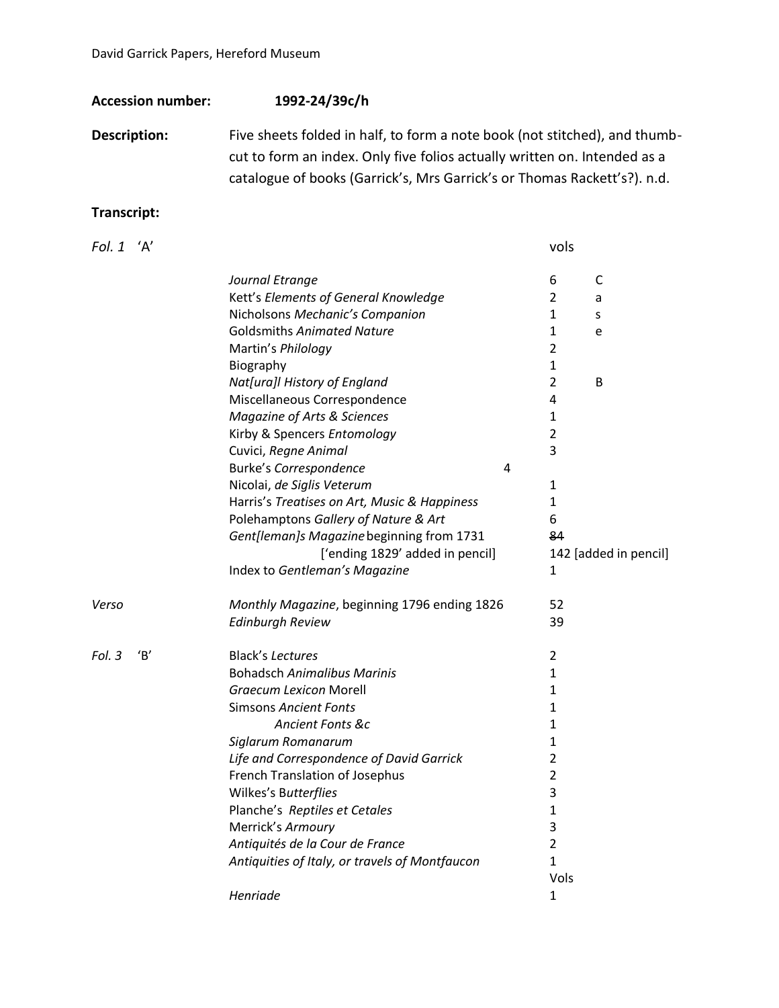**Accession number: 1992-24/39c/h**

**Description:** Five sheets folded in half, to form a note book (not stitched), and thumbcut to form an index. Only five folios actually written on. Intended as a catalogue of books (Garrick's, Mrs Garrick's or Thomas Rackett's?). n.d.

## **Transcript:**

| Fol. 1 'A' |    |                                                | vols           |                       |
|------------|----|------------------------------------------------|----------------|-----------------------|
|            |    | Journal Etrange                                | 6              | C                     |
|            |    | Kett's Elements of General Knowledge           | 2              | a                     |
|            |    | Nicholsons Mechanic's Companion                | $\mathbf{1}$   | S                     |
|            |    | <b>Goldsmiths Animated Nature</b>              | 1              | e                     |
|            |    | Martin's Philology                             | $\overline{2}$ |                       |
|            |    | Biography                                      | $\mathbf{1}$   |                       |
|            |    | Nat[ura]I History of England                   | $\overline{2}$ | B                     |
|            |    | Miscellaneous Correspondence                   | 4              |                       |
|            |    | Magazine of Arts & Sciences                    | 1              |                       |
|            |    | Kirby & Spencers Entomology                    | $\overline{2}$ |                       |
|            |    | Cuvici, Regne Animal                           | 3              |                       |
|            |    | Burke's Correspondence<br>4                    |                |                       |
|            |    | Nicolai, de Siglis Veterum                     | $\mathbf{1}$   |                       |
|            |    | Harris's Treatises on Art, Music & Happiness   | 1              |                       |
|            |    | Polehamptons Gallery of Nature & Art           | 6              |                       |
|            |    | Gent[leman]s Magazine beginning from 1731      | 84             |                       |
|            |    | ['ending 1829' added in pencil]                |                | 142 [added in pencil] |
|            |    | Index to Gentleman's Magazine                  | 1              |                       |
| Verso      |    | Monthly Magazine, beginning 1796 ending 1826   | 52             |                       |
|            |    | <b>Edinburgh Review</b>                        | 39             |                       |
| Fol. 3     | B' | <b>Black's Lectures</b>                        | $\overline{2}$ |                       |
|            |    | <b>Bohadsch Animalibus Marinis</b>             | $\mathbf{1}$   |                       |
|            |    | <b>Graecum Lexicon Morell</b>                  | 1              |                       |
|            |    | <b>Simsons Ancient Fonts</b>                   | 1              |                       |
|            |    | Ancient Fonts &c                               | 1              |                       |
|            |    | Siglarum Romanarum                             | 1              |                       |
|            |    | Life and Correspondence of David Garrick       | $\overline{2}$ |                       |
|            |    | French Translation of Josephus                 | $\overline{2}$ |                       |
|            |    | Wilkes's Butterflies                           | 3              |                       |
|            |    | Planche's Reptiles et Cetales                  | 1              |                       |
|            |    | Merrick's Armoury                              | 3              |                       |
|            |    | Antiquités de la Cour de France                | $\overline{2}$ |                       |
|            |    | Antiquities of Italy, or travels of Montfaucon | $\mathbf{1}$   |                       |
|            |    |                                                | Vols           |                       |
|            |    | Henriade                                       | $\mathbf{1}$   |                       |